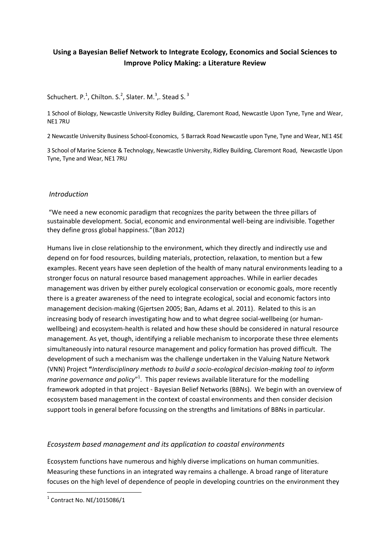# **Using a Bayesian Belief Network to Integrate Ecology, Economics and Social Sciences to Improve Policy Making: a Literature Review**

## Schuchert.  $P^{1}$ , Chilton. S.<sup>2</sup>, Slater. M.<sup>3</sup>,. Stead S.<sup>3</sup>

1 School of Biology, Newcastle University Ridley Building, Claremont Road, Newcastle Upon Tyne, Tyne and Wear, NE1 7RU

2 Newcastle University Business School-Economics, 5 Barrack Road Newcastle upon Tyne, Tyne and Wear, NE1 4SE

3 School of Marine Science & Technology, Newcastle University, Ridley Building, Claremont Road, Newcastle Upon Tyne, Tyne and Wear, NE1 7RU

### *Introduction*

"We need a new economic paradigm that recognizes the parity between the three pillars of sustainable development. Social, economic and environmental well-being are indivisible. Together they define gross global happiness."(Ban 2012)

Humans live in close relationship to the environment, which they directly and indirectly use and depend on for food resources, building materials, protection, relaxation, to mention but a few examples. Recent years have seen depletion of the health of many natural environments leading to a stronger focus on natural resource based management approaches. While in earlier decades management was driven by either purely ecological conservation or economic goals, more recently there is a greater awareness of the need to integrate ecological, social and economic factors into management decision-making (Gjertsen 2005; Ban, Adams et al. 2011). Related to this is an increasing body of research investigating how and to what degree social-wellbeing (or humanwellbeing) and ecosystem-health is related and how these should be considered in natural resource management. As yet, though, identifying a reliable mechanism to incorporate these three elements simultaneously into natural resource management and policy formation has proved difficult. The development of such a mechanism was the challenge undertaken in the Valuing Nature Network (VNN) Project **"***Interdisciplinary methods to build a socio-ecological decision-making tool to inform*  marine governance and policy"<sup>1</sup>. This paper reviews available literature for the modelling framework adopted in that project - Bayesian Belief Networks (BBNs). We begin with an overview of ecosystem based management in the context of coastal environments and then consider decision support tools in general before focussing on the strengths and limitations of BBNs in particular.

## *Ecosystem based management and its application to coastal environments*

Ecosystem functions have numerous and highly diverse implications on human communities. Measuring these functions in an integrated way remains a challenge. A broad range of literature focuses on the high level of dependence of people in developing countries on the environment they

<sup>-&</sup>lt;br><sup>1</sup> Contract No. NE/1015086/1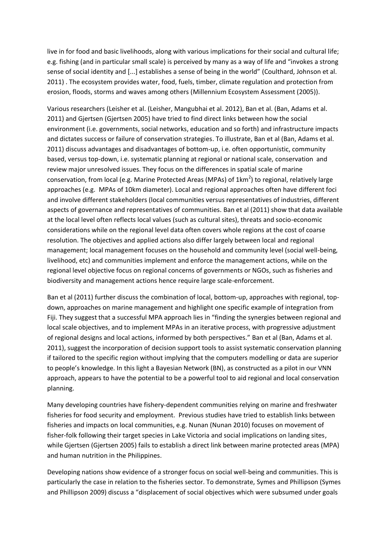live in for food and basic livelihoods, along with various implications for their social and cultural life; e.g. fishing (and in particular small scale) is perceived by many as a way of life and "invokes a strong sense of social identity and [...] establishes a sense of being in the world" (Coulthard, Johnson et al. 2011) . The ecosystem provides water, food, fuels, timber, climate regulation and protection from erosion, floods, storms and waves among others (Millennium Ecosystem Assessment (2005)).

Various researchers (Leisher et al. (Leisher, Mangubhai et al. 2012), Ban et al. (Ban, Adams et al. 2011) and Gjertsen (Gjertsen 2005) have tried to find direct links between how the social environment (i.e. governments, social networks, education and so forth) and infrastructure impacts and dictates success or failure of conservation strategies. To illustrate, Ban et al (Ban, Adams et al. 2011) discuss advantages and disadvantages of bottom-up, i.e. often opportunistic, community based, versus top-down, i.e. systematic planning at regional or national scale, conservation and review major unresolved issues. They focus on the differences in spatial scale of marine conservation, from local (e.g. Marine Protected Areas (MPAs) of  $1km^2$ ) to regional, relatively large approaches (e.g. MPAs of 10km diameter). Local and regional approaches often have different foci and involve different stakeholders (local communities versus representatives of industries, different aspects of governance and representatives of communities. Ban et al (2011) show that data available at the local level often reflects local values (such as cultural sites), threats and socio-economic considerations while on the regional level data often covers whole regions at the cost of coarse resolution. The objectives and applied actions also differ largely between local and regional management; local management focuses on the household and community level (social well-being, livelihood, etc) and communities implement and enforce the management actions, while on the regional level objective focus on regional concerns of governments or NGOs, such as fisheries and biodiversity and management actions hence require large scale-enforcement.

Ban et al (2011) further discuss the combination of local, bottom-up, approaches with regional, topdown, approaches on marine management and highlight one specific example of integration from Fiji. They suggest that a successful MPA approach lies in "finding the synergies between regional and local scale objectives, and to implement MPAs in an iterative process, with progressive adjustment of regional designs and local actions, informed by both perspectives." Ban et al (Ban, Adams et al. 2011), suggest the incorporation of decision support tools to assist systematic conservation planning if tailored to the specific region without implying that the computers modelling or data are superior to people's knowledge. In this light a Bayesian Network (BN), as constructed as a pilot in our VNN approach, appears to have the potential to be a powerful tool to aid regional and local conservation planning.

Many developing countries have fishery-dependent communities relying on marine and freshwater fisheries for food security and employment. Previous studies have tried to establish links between fisheries and impacts on local communities, e.g. Nunan (Nunan 2010) focuses on movement of fisher-folk following their target species in Lake Victoria and social implications on landing sites, while Gjertsen (Gjertsen 2005) fails to establish a direct link between marine protected areas (MPA) and human nutrition in the Philippines.

Developing nations show evidence of a stronger focus on social well-being and communities. This is particularly the case in relation to the fisheries sector. To demonstrate, Symes and Phillipson (Symes and Phillipson 2009) discuss a "displacement of social objectives which were subsumed under goals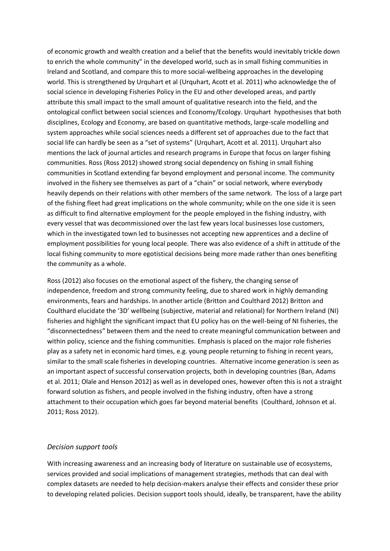of economic growth and wealth creation and a belief that the benefits would inevitably trickle down to enrich the whole community" in the developed world, such as in small fishing communities in Ireland and Scotland, and compare this to more social-wellbeing approaches in the developing world. This is strengthened by Urquhart et al (Urquhart, Acott et al. 2011) who acknowledge the of social science in developing Fisheries Policy in the EU and other developed areas, and partly attribute this small impact to the small amount of qualitative research into the field, and the ontological conflict between social sciences and Economy/Ecology. Urquhart hypothesises that both disciplines, Ecology and Economy, are based on quantitative methods, large-scale modelling and system approaches while social sciences needs a different set of approaches due to the fact that social life can hardly be seen as a "set of systems" (Urquhart, Acott et al. 2011). Urquhart also mentions the lack of journal articles and research programs in Europe that focus on larger fishing communities. Ross (Ross 2012) showed strong social dependency on fishing in small fishing communities in Scotland extending far beyond employment and personal income. The community involved in the fishery see themselves as part of a "chain" or social network, where everybody heavily depends on their relations with other members of the same network. The loss of a large part of the fishing fleet had great implications on the whole community; while on the one side it is seen as difficult to find alternative employment for the people employed in the fishing industry, with every vessel that was decommissioned over the last few years local businesses lose customers, which in the investigated town led to businesses not accepting new apprentices and a decline of employment possibilities for young local people. There was also evidence of a shift in attitude of the local fishing community to more egotistical decisions being more made rather than ones benefiting the community as a whole.

Ross (2012) also focuses on the emotional aspect of the fishery, the changing sense of independence, freedom and strong community feeling, due to shared work in highly demanding environments, fears and hardships. In another article (Britton and Coulthard 2012) Britton and Coulthard elucidate the '3D' wellbeing (subjective, material and relational) for Northern Ireland (NI) fisheries and highlight the significant impact that EU policy has on the well-being of NI fisheries, the "disconnectedness" between them and the need to create meaningful communication between and within policy, science and the fishing communities. Emphasis is placed on the major role fisheries play as a safety net in economic hard times, e.g. young people returning to fishing in recent years, similar to the small scale fisheries in developing countries. Alternative income generation is seen as an important aspect of successful conservation projects, both in developing countries (Ban, Adams et al. 2011; Olale and Henson 2012) as well as in developed ones, however often this is not a straight forward solution as fishers, and people involved in the fishing industry, often have a strong attachment to their occupation which goes far beyond material benefits (Coulthard, Johnson et al. 2011; Ross 2012).

#### *Decision support tools*

With increasing awareness and an increasing body of literature on sustainable use of ecosystems, services provided and social implications of management strategies, methods that can deal with complex datasets are needed to help decision-makers analyse their effects and consider these prior to developing related policies. Decision support tools should, ideally, be transparent, have the ability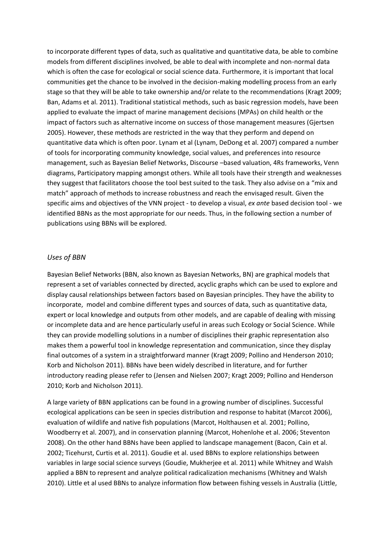to incorporate different types of data, such as qualitative and quantitative data, be able to combine models from different disciplines involved, be able to deal with incomplete and non-normal data which is often the case for ecological or social science data. Furthermore, it is important that local communities get the chance to be involved in the decision-making modelling process from an early stage so that they will be able to take ownership and/or relate to the recommendations (Kragt 2009; Ban, Adams et al. 2011). Traditional statistical methods, such as basic regression models, have been applied to evaluate the impact of marine management decisions (MPAs) on child health or the impact of factors such as alternative income on success of those management measures (Gjertsen 2005). However, these methods are restricted in the way that they perform and depend on quantitative data which is often poor. Lynam et al (Lynam, DeDong et al. 2007) compared a number of tools for incorporating community knowledge, social values, and preferences into resource management, such as Bayesian Belief Networks, Discourse –based valuation, 4Rs frameworks, Venn diagrams, Participatory mapping amongst others. While all tools have their strength and weaknesses they suggest that facilitators choose the tool best suited to the task. They also advise on a "mix and match" approach of methods to increase robustness and reach the envisaged result. Given the specific aims and objectives of the VNN project - to develop a visual, *ex ante* based decision tool - we identified BBNs as the most appropriate for our needs. Thus, in the following section a number of publications using BBNs will be explored.

#### *Uses of BBN*

Bayesian Belief Networks (BBN, also known as Bayesian Networks, BN) are graphical models that represent a set of variables connected by directed, acyclic graphs which can be used to explore and display causal relationships between factors based on Bayesian principles. They have the ability to incorporate, model and combine different types and sources of data, such as quantitative data, expert or local knowledge and outputs from other models, and are capable of dealing with missing or incomplete data and are hence particularly useful in areas such Ecology or Social Science. While they can provide modelling solutions in a number of disciplines their graphic representation also makes them a powerful tool in knowledge representation and communication, since they display final outcomes of a system in a straightforward manner (Kragt 2009; Pollino and Henderson 2010; Korb and Nicholson 2011). BBNs have been widely described in literature, and for further introductory reading please refer to (Jensen and Nielsen 2007; Kragt 2009; Pollino and Henderson 2010; Korb and Nicholson 2011).

A large variety of BBN applications can be found in a growing number of disciplines. Successful ecological applications can be seen in species distribution and response to habitat (Marcot 2006), evaluation of wildlife and native fish populations (Marcot, Holthausen et al. 2001; Pollino, Woodberry et al. 2007), and in conservation planning (Marcot, Hohenlohe et al. 2006; Steventon 2008). On the other hand BBNs have been applied to landscape management (Bacon, Cain et al. 2002; Ticehurst, Curtis et al. 2011). Goudie et al. used BBNs to explore relationships between variables in large social science surveys (Goudie, Mukherjee et al. 2011) while Whitney and Walsh applied a BBN to represent and analyze political radicalization mechanisms (Whitney and Walsh 2010). Little et al used BBNs to analyze information flow between fishing vessels in Australia (Little,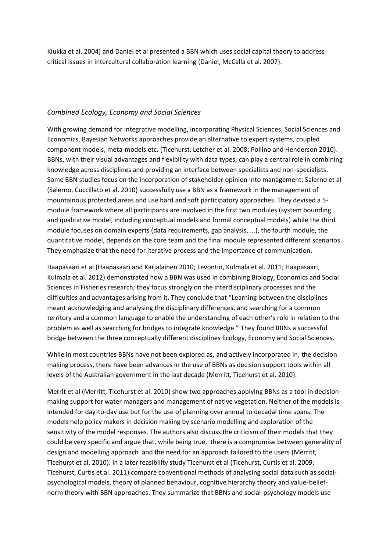Kiukka et al. 2004) and Daniel et al presented a BBN which uses social capital theory to address critical issues in intercultural collaboration learning (Daniel, McCalla et al. 2007).

## *Combined Ecology, Economy and Social Sciences*

With growing demand for integrative modelling, incorporating Physical Sciences, Social Sciences and Economics, Bayesian Networks approaches provide an alternative to expert systems, coupled component models, meta-models etc. (Ticehurst, Letcher et al. 2008; Pollino and Henderson 2010). BBNs, with their visual advantages and flexibility with data types, can play a central role in combining knowledge across disciplines and providing an interface between specialists and non-specialists. Some BBN studies focus on the incorporation of stakeholder opinion into management: Salerno et al (Salerno, Cuccillato et al. 2010) successfully use a BBN as a framework in the management of mountainous protected areas and use hard and soft participatory approaches. They devised a 5 module framework where all participants are involved in the first two modules (system bounding and qualitative model, including conceptual models and formal conceptual models) while the third module focuses on domain experts (data requirements, gap analysis, ...), the fourth module, the quantitative model, depends on the core team and the final module represented different scenarios. They emphasize that the need for iterative process and the importance of communication.

Haapasaari et al (Haapasaari and Karjalainen 2010; Levontin, Kulmala et al. 2011; Haapasaari, Kulmala et al. 2012) demonstrated how a BBN was used in combining Biology, Economics and Social Sciences in Fisheries research; they focus strongly on the interdisciplinary processes and the difficulties and advantages arising from it. They conclude that "Learning between the disciplines meant acknowledging and analysing the disciplinary differences, and searching for a common territory and a common language to enable the understanding of each other's role in relation to the problem as well as searching for bridges to integrate knowledge." They found BBNs a successful bridge between the three conceptually different disciplines Ecology, Economy and Social Sciences.

While in most countries BBNs have not been explored as, and actively incorporated in, the decision making process, there have been advances in the use of BBNs as decision support tools within all levels of the Australian government in the last decade (Merritt, Ticehurst et al. 2010).

Merrit et al (Merritt, Ticehurst et al. 2010) show two approaches applying BBNs as a tool in decisionmaking support for water managers and management of native vegetation. Neither of the models is intended for day-to-day use but for the use of planning over annual to decadal time spans. The models help policy makers in decision making by scenario modelling and exploration of the sensitivity of the model responses. The authors also discuss the criticism of their models that they could be very specific and argue that, while being true, there is a compromise between generality of design and modelling approach and the need for an approach tailored to the users (Merritt, Ticehurst et al. 2010). In a later feasibility study Ticehurst et al (Ticehurst, Curtis et al. 2009; Ticehurst, Curtis et al. 2011) compare conventional methods of analysing social data such as socialpsychological models, theory of planned behaviour, cognitive hierarchy theory and value-beliefnorm theory with BBN approaches. They summarize that BBNs and social-psychology models use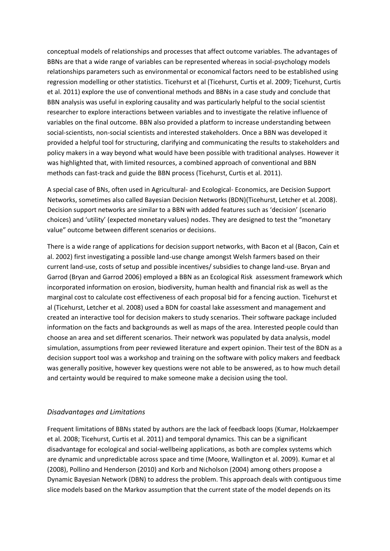conceptual models of relationships and processes that affect outcome variables. The advantages of BBNs are that a wide range of variables can be represented whereas in social-psychology models relationships parameters such as environmental or economical factors need to be established using regression modelling or other statistics. Ticehurst et al (Ticehurst, Curtis et al. 2009; Ticehurst, Curtis et al. 2011) explore the use of conventional methods and BBNs in a case study and conclude that BBN analysis was useful in exploring causality and was particularly helpful to the social scientist researcher to explore interactions between variables and to investigate the relative influence of variables on the final outcome. BBN also provided a platform to increase understanding between social-scientists, non-social scientists and interested stakeholders. Once a BBN was developed it provided a helpful tool for structuring, clarifying and communicating the results to stakeholders and policy makers in a way beyond what would have been possible with traditional analyses. However it was highlighted that, with limited resources, a combined approach of conventional and BBN methods can fast-track and guide the BBN process (Ticehurst, Curtis et al. 2011).

A special case of BNs, often used in Agricultural- and Ecological- Economics, are Decision Support Networks, sometimes also called Bayesian Decision Networks (BDN)(Ticehurst, Letcher et al. 2008). Decision support networks are similar to a BBN with added features such as 'decision' (scenario choices) and 'utility' (expected monetary values) nodes. They are designed to test the "monetary value" outcome between different scenarios or decisions.

There is a wide range of applications for decision support networks, with Bacon et al (Bacon, Cain et al. 2002) first investigating a possible land-use change amongst Welsh farmers based on their current land-use, costs of setup and possible incentives/ subsidies to change land-use. Bryan and Garrod (Bryan and Garrod 2006) employed a BBN as an Ecological Risk assessment framework which incorporated information on erosion, biodiversity, human health and financial risk as well as the marginal cost to calculate cost effectiveness of each proposal bid for a fencing auction. Ticehurst et al (Ticehurst, Letcher et al. 2008) used a BDN for coastal lake assessment and management and created an interactive tool for decision makers to study scenarios. Their software package included information on the facts and backgrounds as well as maps of the area. Interested people could than choose an area and set different scenarios. Their network was populated by data analysis, model simulation, assumptions from peer reviewed literature and expert opinion. Their test of the BDN as a decision support tool was a workshop and training on the software with policy makers and feedback was generally positive, however key questions were not able to be answered, as to how much detail and certainty would be required to make someone make a decision using the tool.

#### *Disadvantages and Limitations*

Frequent limitations of BBNs stated by authors are the lack of feedback loops (Kumar, Holzkaemper et al. 2008; Ticehurst, Curtis et al. 2011) and temporal dynamics. This can be a significant disadvantage for ecological and social-wellbeing applications, as both are complex systems which are dynamic and unpredictable across space and time (Moore, Wallington et al. 2009). Kumar et al (2008), Pollino and Henderson (2010) and Korb and Nicholson (2004) among others propose a Dynamic Bayesian Network (DBN) to address the problem. This approach deals with contiguous time slice models based on the Markov assumption that the current state of the model depends on its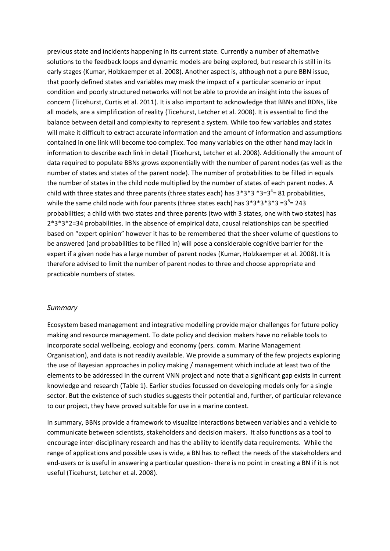previous state and incidents happening in its current state. Currently a number of alternative solutions to the feedback loops and dynamic models are being explored, but research is still in its early stages (Kumar, Holzkaemper et al. 2008). Another aspect is, although not a pure BBN issue, that poorly defined states and variables may mask the impact of a particular scenario or input condition and poorly structured networks will not be able to provide an insight into the issues of concern (Ticehurst, Curtis et al. 2011). It is also important to acknowledge that BBNs and BDNs, like all models, are a simplification of reality (Ticehurst, Letcher et al. 2008). It is essential to find the balance between detail and complexity to represent a system. While too few variables and states will make it difficult to extract accurate information and the amount of information and assumptions contained in one link will become too complex. Too many variables on the other hand may lack in information to describe each link in detail (Ticehurst, Letcher et al. 2008). Additionally the amount of data required to populate BBNs grows exponentially with the number of parent nodes (as well as the number of states and states of the parent node). The number of probabilities to be filled in equals the number of states in the child node multiplied by the number of states of each parent nodes. A child with three states and three parents (three states each) has  $3*3*3*3=3^4=81$  probabilities, while the same child node with four parents (three states each) has  $3*3*3*3*3 = 3<sup>5</sup> = 243$ probabilities; a child with two states and three parents (two with 3 states, one with two states) has 2\*3\*3\*2=34 probabilities. In the absence of empirical data, causal relationships can be specified based on "expert opinion" however it has to be remembered that the sheer volume of questions to be answered (and probabilities to be filled in) will pose a considerable cognitive barrier for the expert if a given node has a large number of parent nodes (Kumar, Holzkaemper et al. 2008). It is therefore advised to limit the number of parent nodes to three and choose appropriate and practicable numbers of states.

#### *Summary*

Ecosystem based management and integrative modelling provide major challenges for future policy making and resource management. To date policy and decision makers have no reliable tools to incorporate social wellbeing, ecology and economy (pers. comm. Marine Management Organisation), and data is not readily available. We provide a summary of the few projects exploring the use of Bayesian approaches in policy making / management which include at least two of the elements to be addressed in the current VNN project and note that a significant gap exists in current knowledge and research (Table 1). Earlier studies focussed on developing models only for a single sector. But the existence of such studies suggests their potential and, further, of particular relevance to our project, they have proved suitable for use in a marine context.

In summary, BBNs provide a framework to visualize interactions between variables and a vehicle to communicate between scientists, stakeholders and decision makers. It also functions as a tool to encourage inter-disciplinary research and has the ability to identify data requirements. While the range of applications and possible uses is wide, a BN has to reflect the needs of the stakeholders and end-users or is useful in answering a particular question- there is no point in creating a BN if it is not useful (Ticehurst, Letcher et al. 2008).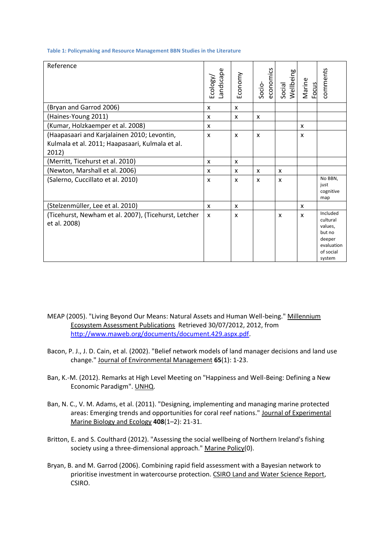| Reference                                                                                               | andscape<br>Ecology | Economy | economics<br>Socio- | Social<br>Wellbeing | Marine<br><b>Focus</b> | comments                                                                                 |
|---------------------------------------------------------------------------------------------------------|---------------------|---------|---------------------|---------------------|------------------------|------------------------------------------------------------------------------------------|
| (Bryan and Garrod 2006)                                                                                 | X                   | X       |                     |                     |                        |                                                                                          |
| (Haines-Young 2011)                                                                                     | X                   | X       | X                   |                     |                        |                                                                                          |
| (Kumar, Holzkaemper et al. 2008)                                                                        | X                   |         |                     |                     | X                      |                                                                                          |
| (Haapasaari and Karjalainen 2010; Levontin,<br>Kulmala et al. 2011; Haapasaari, Kulmala et al.<br>2012) | X                   | X       | X                   |                     | X                      |                                                                                          |
| (Merritt, Ticehurst et al. 2010)                                                                        | X                   | X       |                     |                     |                        |                                                                                          |
| (Newton, Marshall et al. 2006)                                                                          | X                   | x       | X                   | X                   |                        |                                                                                          |
| (Salerno, Cuccillato et al. 2010)                                                                       | X                   | X       | X                   | X                   |                        | No BBN,<br>just<br>cognitive<br>map                                                      |
| (Stelzenmüller, Lee et al. 2010)                                                                        | x                   | X       |                     |                     | X                      |                                                                                          |
| (Ticehurst, Newham et al. 2007), (Ticehurst, Letcher<br>et al. 2008)                                    | X                   | X       |                     | X                   | X                      | Included<br>cultural<br>values,<br>but no<br>deeper<br>evaluation<br>of social<br>system |

**Table 1: Policymaking and Resource Management BBN Studies in the Literature**

- MEAP (2005). "Living Beyond Our Means: Natural Assets and Human Well-being." Millennium Ecosystem Assessment Publications Retrieved 30/07/2012, 2012, from [http://www.maweb.org/documents/document.429.aspx.pdf.](http://www.maweb.org/documents/document.429.aspx.pdf)
- Bacon, P. J., J. D. Cain, et al. (2002). "Belief network models of land manager decisions and land use change." Journal of Environmental Management **65**(1): 1-23.
- Ban, K.-M. (2012). Remarks at High Level Meeting on "Happiness and Well-Being: Defining a New Economic Paradigm". UNHQ.
- Ban, N. C., V. M. Adams, et al. (2011). "Designing, implementing and managing marine protected areas: Emerging trends and opportunities for coral reef nations." Journal of Experimental Marine Biology and Ecology **408**(1–2): 21-31.
- Britton, E. and S. Coulthard (2012). "Assessing the social wellbeing of Northern Ireland's fishing society using a three-dimensional approach." Marine Policy(0).
- Bryan, B. and M. Garrod (2006). Combining rapid field assessment with a Bayesian network to prioritise investment in watercourse protection. CSIRO Land and Water Science Report, CSIRO.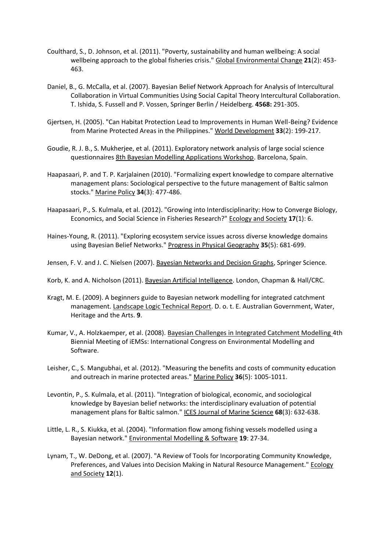- Coulthard, S., D. Johnson, et al. (2011). "Poverty, sustainability and human wellbeing: A social wellbeing approach to the global fisheries crisis." Global Environmental Change **21**(2): 453- 463.
- Daniel, B., G. McCalla, et al. (2007). Bayesian Belief Network Approach for Analysis of Intercultural Collaboration in Virtual Communities Using Social Capital Theory Intercultural Collaboration. T. Ishida, S. Fussell and P. Vossen, Springer Berlin / Heidelberg. **4568:** 291-305.
- Gjertsen, H. (2005). "Can Habitat Protection Lead to Improvements in Human Well-Being? Evidence from Marine Protected Areas in the Philippines." World Development **33**(2): 199-217.
- Goudie, R. J. B., S. Mukherjee, et al. (2011). Exploratory network analysis of large social science questionnaires 8th Bayesian Modelling Applications Workshop. Barcelona, Spain.
- Haapasaari, P. and T. P. Karjalainen (2010). "Formalizing expert knowledge to compare alternative management plans: Sociological perspective to the future management of Baltic salmon stocks." Marine Policy **34**(3): 477-486.
- Haapasaari, P., S. Kulmala, et al. (2012). "Growing into Interdisciplinarity: How to Converge Biology, Economics, and Social Science in Fisheries Research?" Ecology and Society **17**(1): 6.
- Haines-Young, R. (2011). "Exploring ecosystem service issues across diverse knowledge domains using Bayesian Belief Networks." Progress in Physical Geography **35**(5): 681-699.
- Jensen, F. V. and J. C. Nielsen (2007). Bayesian Networks and Decision Graphs, Springer Science.
- Korb, K. and A. Nicholson (2011). Bayesian Artificial Intelligence. London, Chapman & Hall/CRC.
- Kragt, M. E. (2009). A beginners guide to Bayesian network modelling for integrated catchment management. Landscape Logic Technical Report. D. o. t. E. Australian Government, Water, Heritage and the Arts. **9**.
- Kumar, V., A. Holzkaemper, et al. (2008). Bayesian Challenges in Integrated Catchment Modelling 4th Biennial Meeting of iEMSs: International Congress on Environmental Modelling and Software.
- Leisher, C., S. Mangubhai, et al. (2012). "Measuring the benefits and costs of community education and outreach in marine protected areas." Marine Policy **36**(5): 1005-1011.
- Levontin, P., S. Kulmala, et al. (2011). "Integration of biological, economic, and sociological knowledge by Bayesian belief networks: the interdisciplinary evaluation of potential management plans for Baltic salmon." ICES Journal of Marine Science **68**(3): 632-638.
- Little, L. R., S. Kiukka, et al. (2004). "Information flow among fishing vessels modelled using a Bayesian network." Environmental Modelling & Software **19**: 27-34.
- Lynam, T., W. DeDong, et al. (2007). "A Review of Tools for Incorporating Community Knowledge, Preferences, and Values into Decision Making in Natural Resource Management." Ecology and Society **12**(1).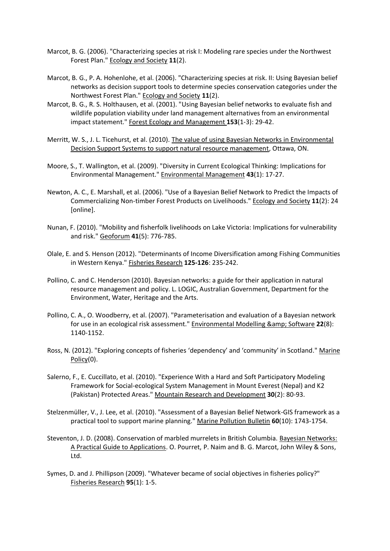- Marcot, B. G. (2006). "Characterizing species at risk I: Modeling rare species under the Northwest Forest Plan." Ecology and Society **11**(2).
- Marcot, B. G., P. A. Hohenlohe, et al. (2006). "Characterizing species at risk. II: Using Bayesian belief networks as decision support tools to determine species conservation categories under the Northwest Forest Plan." Ecology and Society **11**(2).
- Marcot, B. G., R. S. Holthausen, et al. (2001). "Using Bayesian belief networks to evaluate fish and wildlife population viability under land management alternatives from an environmental impact statement." Forest Ecology and Management **153**(1-3): 29-42.
- Merritt, W. S., J. L. Ticehurst, et al. (2010). The value of using Bayesian Networks in Environmental Decision Support Systems to support natural resource management, Ottawa, ON.
- Moore, S., T. Wallington, et al. (2009). "Diversity in Current Ecological Thinking: Implications for Environmental Management." Environmental Management **43**(1): 17-27.
- Newton, A. C., E. Marshall, et al. (2006). "Use of a Bayesian Belief Network to Predict the Impacts of Commercializing Non-timber Forest Products on Livelihoods." Ecology and Society **11**(2): 24 [online].
- Nunan, F. (2010). "Mobility and fisherfolk livelihoods on Lake Victoria: Implications for vulnerability and risk." Geoforum **41**(5): 776-785.
- Olale, E. and S. Henson (2012). "Determinants of Income Diversification among Fishing Communities in Western Kenya." Fisheries Research **125-126**: 235-242.
- Pollino, C. and C. Henderson (2010). Bayesian networks: a guide for their application in natural resource management and policy. L. LOGIC, Australian Government, Department for the Environment, Water, Heritage and the Arts.
- Pollino, C. A., O. Woodberry, et al. (2007). "Parameterisation and evaluation of a Bayesian network for use in an ecological risk assessment." Environmental Modelling & amp; Software 22(8): 1140-1152.
- Ross, N. (2012). "Exploring concepts of fisheries 'dependency' and 'community' in Scotland." Marine Policy(0).
- Salerno, F., E. Cuccillato, et al. (2010). "Experience With a Hard and Soft Participatory Modeling Framework for Social-ecological System Management in Mount Everest (Nepal) and K2 (Pakistan) Protected Areas." Mountain Research and Development **30**(2): 80-93.
- Stelzenmüller, V., J. Lee, et al. (2010). "Assessment of a Bayesian Belief Network-GIS framework as a practical tool to support marine planning." Marine Pollution Bulletin **60**(10): 1743-1754.
- Steventon, J. D. (2008). Conservation of marbled murrelets in British Columbia. Bayesian Networks: A Practical Guide to Applications. O. Pourret, P. Naim and B. G. Marcot, John Wiley & Sons, Ltd.
- Symes, D. and J. Phillipson (2009). "Whatever became of social objectives in fisheries policy?" Fisheries Research **95**(1): 1-5.